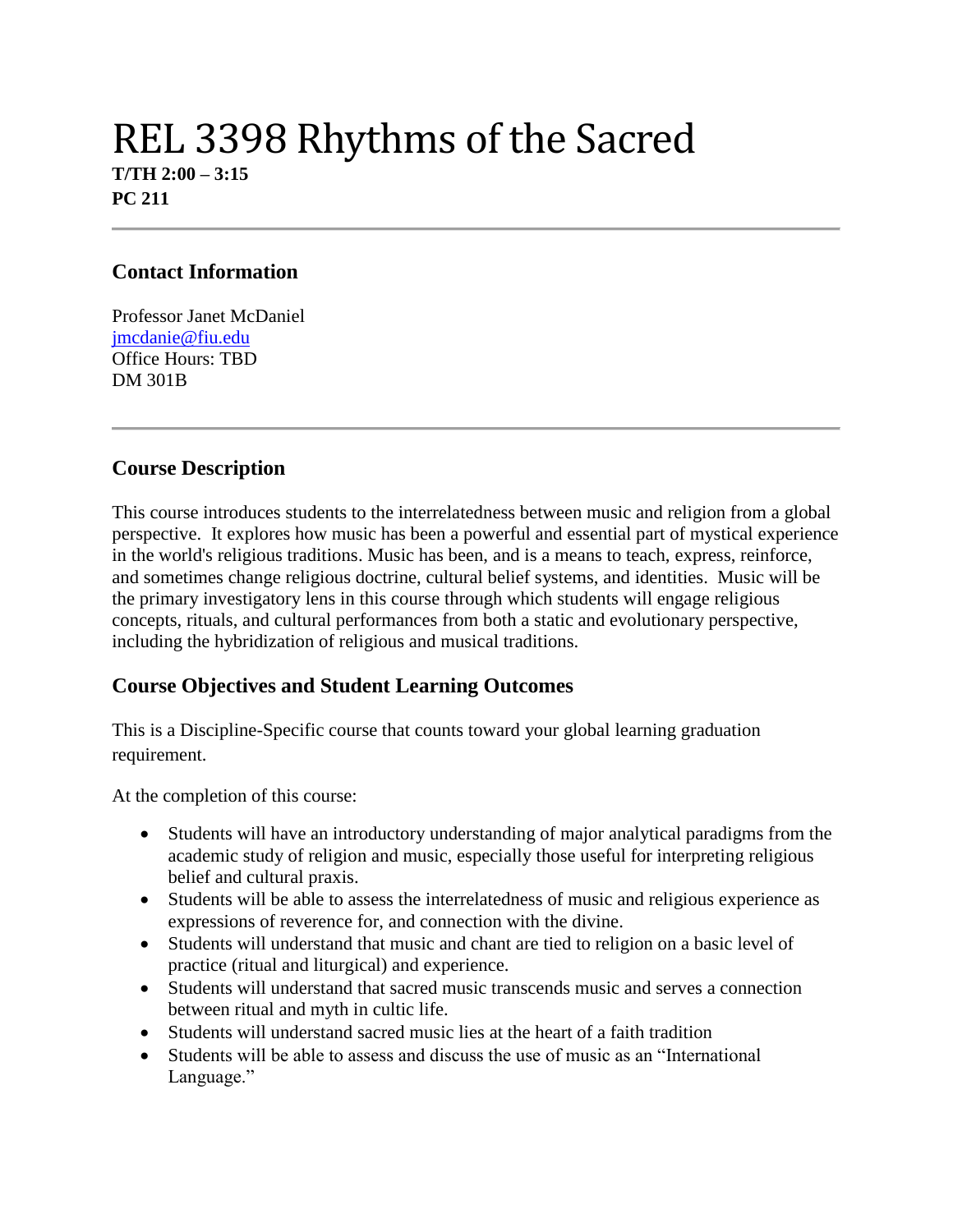# REL 3398 Rhythms of the Sacred **T/TH 2:00 – 3:15 PC 211**

#### **Contact Information**

Professor Janet McDaniel [jmcdanie@fiu.edu](mailto:jmcdanie@fiu.edu) Office Hours: TBD DM 301B

#### **Course Description**

This course introduces students to the interrelatedness between music and religion from a global perspective. It explores how music has been a powerful and essential part of mystical experience in the world's religious traditions. Music has been, and is a means to teach, express, reinforce, and sometimes change religious doctrine, cultural belief systems, and identities. Music will be the primary investigatory lens in this course through which students will engage religious concepts, rituals, and cultural performances from both a static and evolutionary perspective, including the hybridization of religious and musical traditions.

# **Course Objectives and Student Learning Outcomes**

This is a Discipline-Specific course that counts toward your global learning graduation requirement.

At the completion of this course:

- Students will have an introductory understanding of major analytical paradigms from the academic study of religion and music, especially those useful for interpreting religious belief and cultural praxis.
- Students will be able to assess the interrelatedness of music and religious experience as expressions of reverence for, and connection with the divine.
- Students will understand that music and chant are tied to religion on a basic level of practice (ritual and liturgical) and experience.
- Students will understand that sacred music transcends music and serves a connection between ritual and myth in cultic life.
- Students will understand sacred music lies at the heart of a faith tradition
- Students will be able to assess and discuss the use of music as an "International" Language."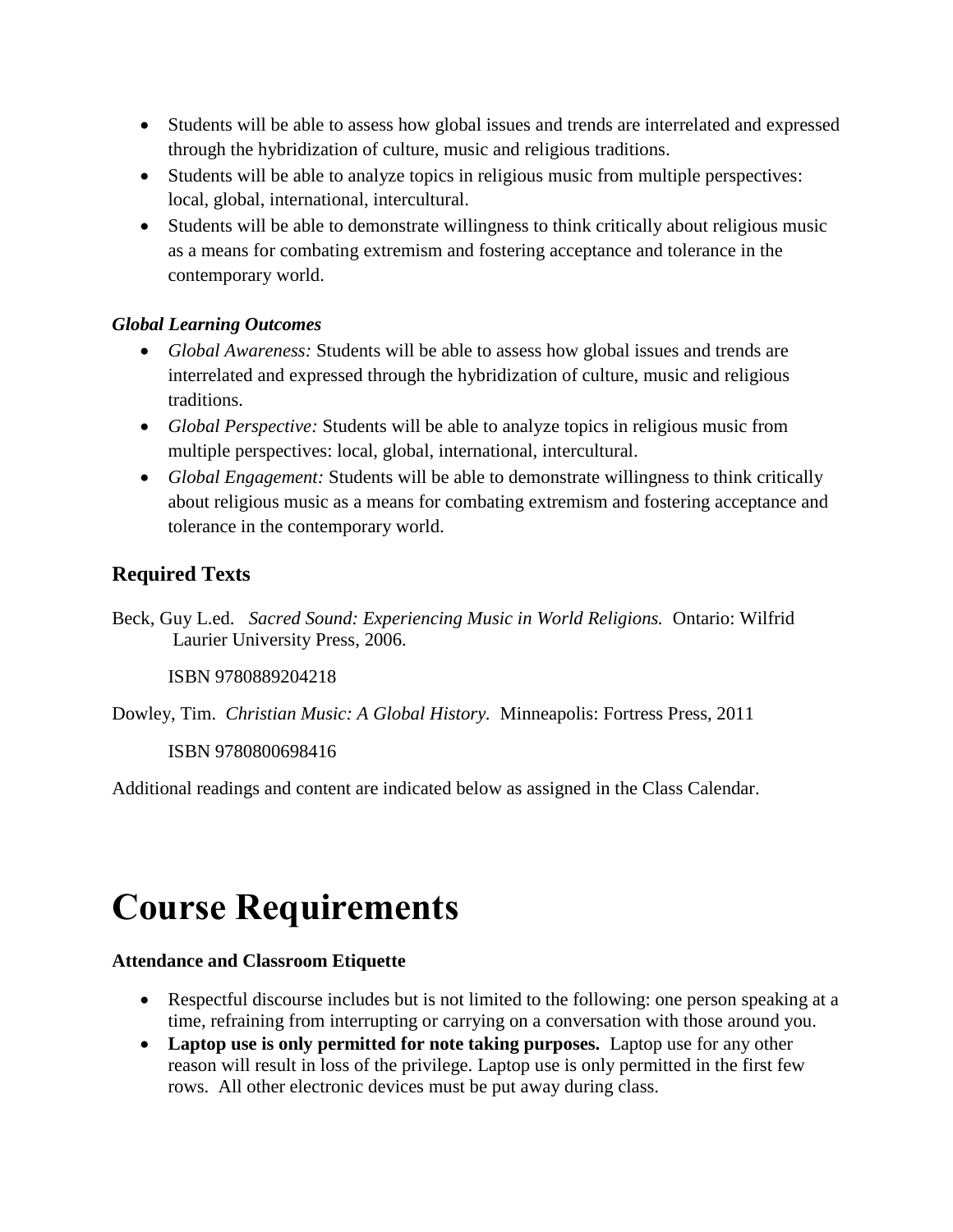- Students will be able to assess how global issues and trends are interrelated and expressed through the hybridization of culture, music and religious traditions.
- Students will be able to analyze topics in religious music from multiple perspectives: local, global, international, intercultural.
- Students will be able to demonstrate willingness to think critically about religious music as a means for combating extremism and fostering acceptance and tolerance in the contemporary world.

#### *Global Learning Outcomes*

- *Global Awareness:* Students will be able to assess how global issues and trends are interrelated and expressed through the hybridization of culture, music and religious traditions.
- *Global Perspective:* Students will be able to analyze topics in religious music from multiple perspectives: local, global, international, intercultural.
- *Global Engagement:* Students will be able to demonstrate willingness to think critically about religious music as a means for combating extremism and fostering acceptance and tolerance in the contemporary world.

# **Required Texts**

Beck, Guy L.ed. *Sacred Sound: Experiencing Music in World Religions.* Ontario: Wilfrid Laurier University Press, 2006.

ISBN 9780889204218

Dowley, Tim. *Christian Music: A Global History.* Minneapolis: Fortress Press, 2011

ISBN 9780800698416

Additional readings and content are indicated below as assigned in the Class Calendar.

# **Course Requirements**

#### **Attendance and Classroom Etiquette**

- Respectful discourse includes but is not limited to the following: one person speaking at a time, refraining from interrupting or carrying on a conversation with those around you.
- **Laptop use is only permitted for note taking purposes.** Laptop use for any other reason will result in loss of the privilege. Laptop use is only permitted in the first few rows. All other electronic devices must be put away during class.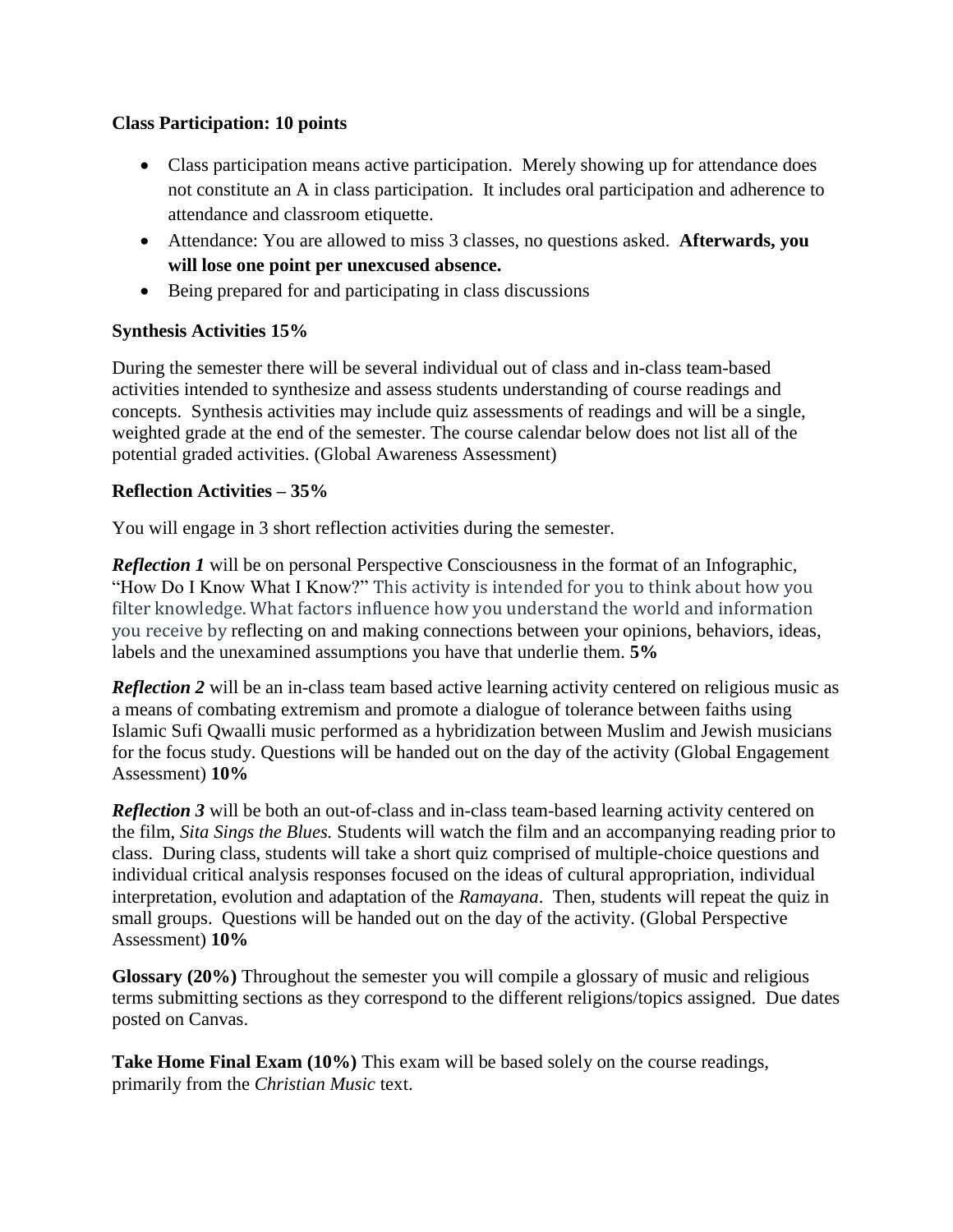#### **Class Participation: 10 points**

- Class participation means active participation. Merely showing up for attendance does not constitute an A in class participation. It includes oral participation and adherence to attendance and classroom etiquette.
- Attendance: You are allowed to miss 3 classes, no questions asked. **Afterwards, you will lose one point per unexcused absence.**
- Being prepared for and participating in class discussions

#### **Synthesis Activities 15%**

During the semester there will be several individual out of class and in-class team-based activities intended to synthesize and assess students understanding of course readings and concepts. Synthesis activities may include quiz assessments of readings and will be a single, weighted grade at the end of the semester. The course calendar below does not list all of the potential graded activities. (Global Awareness Assessment)

#### **Reflection Activities – 35%**

You will engage in 3 short reflection activities during the semester.

*Reflection 1* will be on personal Perspective Consciousness in the format of an Infographic, "How Do I Know What I Know?" This activity is intended for you to think about how you filter knowledge. What factors influence how you understand the world and information you receive by reflecting on and making connections between your opinions, behaviors, ideas, labels and the unexamined assumptions you have that underlie them. **5%**

*Reflection 2* will be an in-class team based active learning activity centered on religious music as a means of combating extremism and promote a dialogue of tolerance between faiths using Islamic Sufi Qwaalli music performed as a hybridization between Muslim and Jewish musicians for the focus study. Questions will be handed out on the day of the activity (Global Engagement Assessment) **10%**

**Reflection 3** will be both an out-of-class and in-class team-based learning activity centered on the film, *Sita Sings the Blues.* Students will watch the film and an accompanying reading prior to class. During class, students will take a short quiz comprised of multiple-choice questions and individual critical analysis responses focused on the ideas of cultural appropriation, individual interpretation, evolution and adaptation of the *Ramayana*. Then, students will repeat the quiz in small groups. Questions will be handed out on the day of the activity. (Global Perspective Assessment) **10%**

**Glossary (20%)** Throughout the semester you will compile a glossary of music and religious terms submitting sections as they correspond to the different religions/topics assigned. Due dates posted on Canvas.

**Take Home Final Exam (10%)** This exam will be based solely on the course readings, primarily from the *Christian Music* text.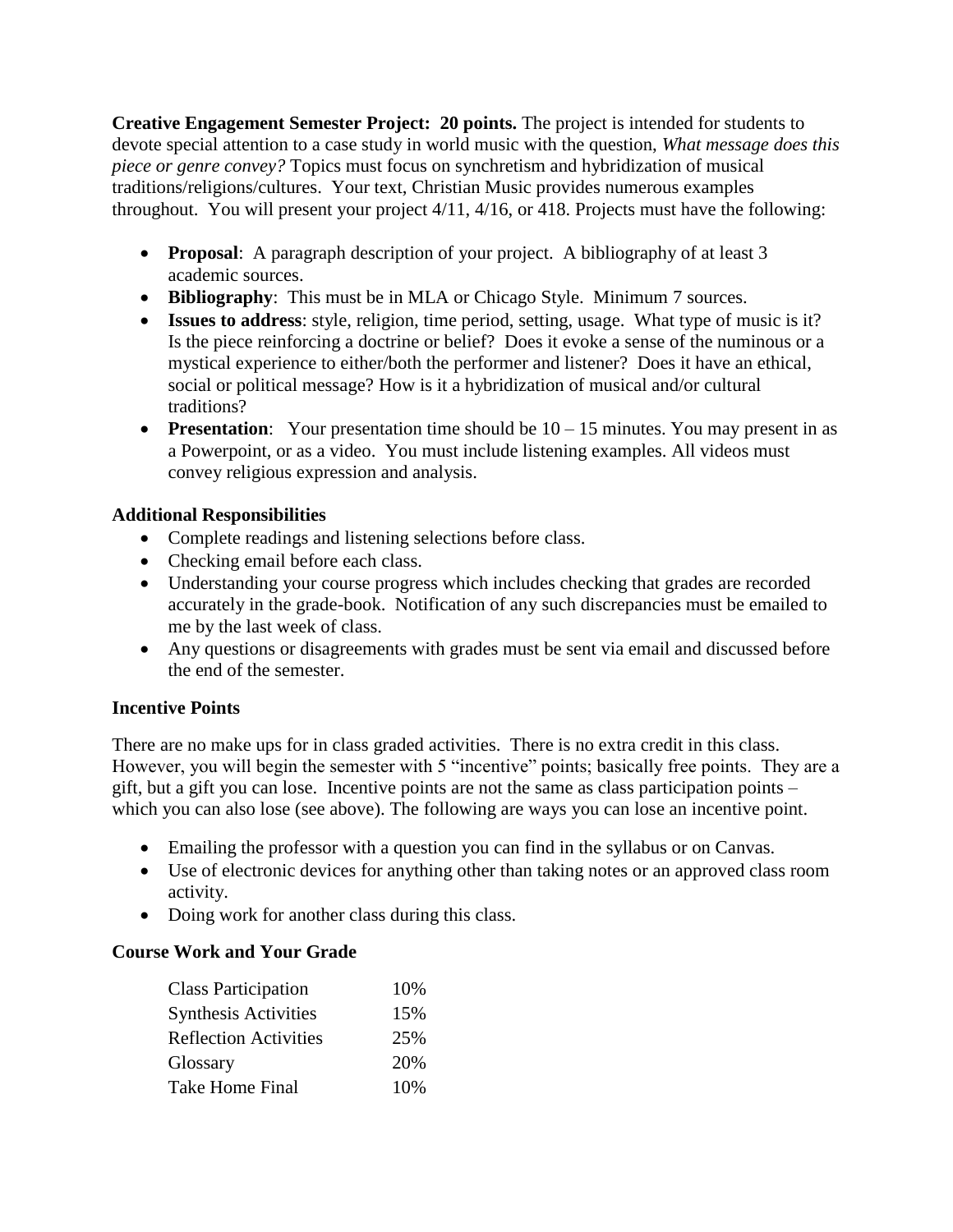**Creative Engagement Semester Project: 20 points.** The project is intended for students to devote special attention to a case study in world music with the question, *What message does this piece or genre convey?* Topics must focus on synchretism and hybridization of musical traditions/religions/cultures. Your text, Christian Music provides numerous examples throughout. You will present your project 4/11, 4/16, or 418. Projects must have the following:

- **Proposal**: A paragraph description of your project. A bibliography of at least 3 academic sources.
- **Bibliography**: This must be in MLA or Chicago Style. Minimum 7 sources.
- **Issues to address**: style, religion, time period, setting, usage. What type of music is it? Is the piece reinforcing a doctrine or belief? Does it evoke a sense of the numinous or a mystical experience to either/both the performer and listener? Does it have an ethical, social or political message? How is it a hybridization of musical and/or cultural traditions?
- **Presentation**: Your presentation time should be  $10 15$  minutes. You may present in as a Powerpoint, or as a video. You must include listening examples. All videos must convey religious expression and analysis.

### **Additional Responsibilities**

- Complete readings and listening selections before class.
- Checking email before each class.
- Understanding your course progress which includes checking that grades are recorded accurately in the grade-book. Notification of any such discrepancies must be emailed to me by the last week of class.
- Any questions or disagreements with grades must be sent via email and discussed before the end of the semester.

#### **Incentive Points**

There are no make ups for in class graded activities. There is no extra credit in this class. However, you will begin the semester with 5 "incentive" points; basically free points. They are a gift, but a gift you can lose. Incentive points are not the same as class participation points – which you can also lose (see above). The following are ways you can lose an incentive point.

- Emailing the professor with a question you can find in the syllabus or on Canvas.
- Use of electronic devices for anything other than taking notes or an approved class room activity.
- Doing work for another class during this class.

# **Course Work and Your Grade**

| <b>Class Participation</b>   | 10% |
|------------------------------|-----|
| <b>Synthesis Activities</b>  | 15% |
| <b>Reflection Activities</b> | 25% |
| Glossary                     | 20% |
| Take Home Final              | 10% |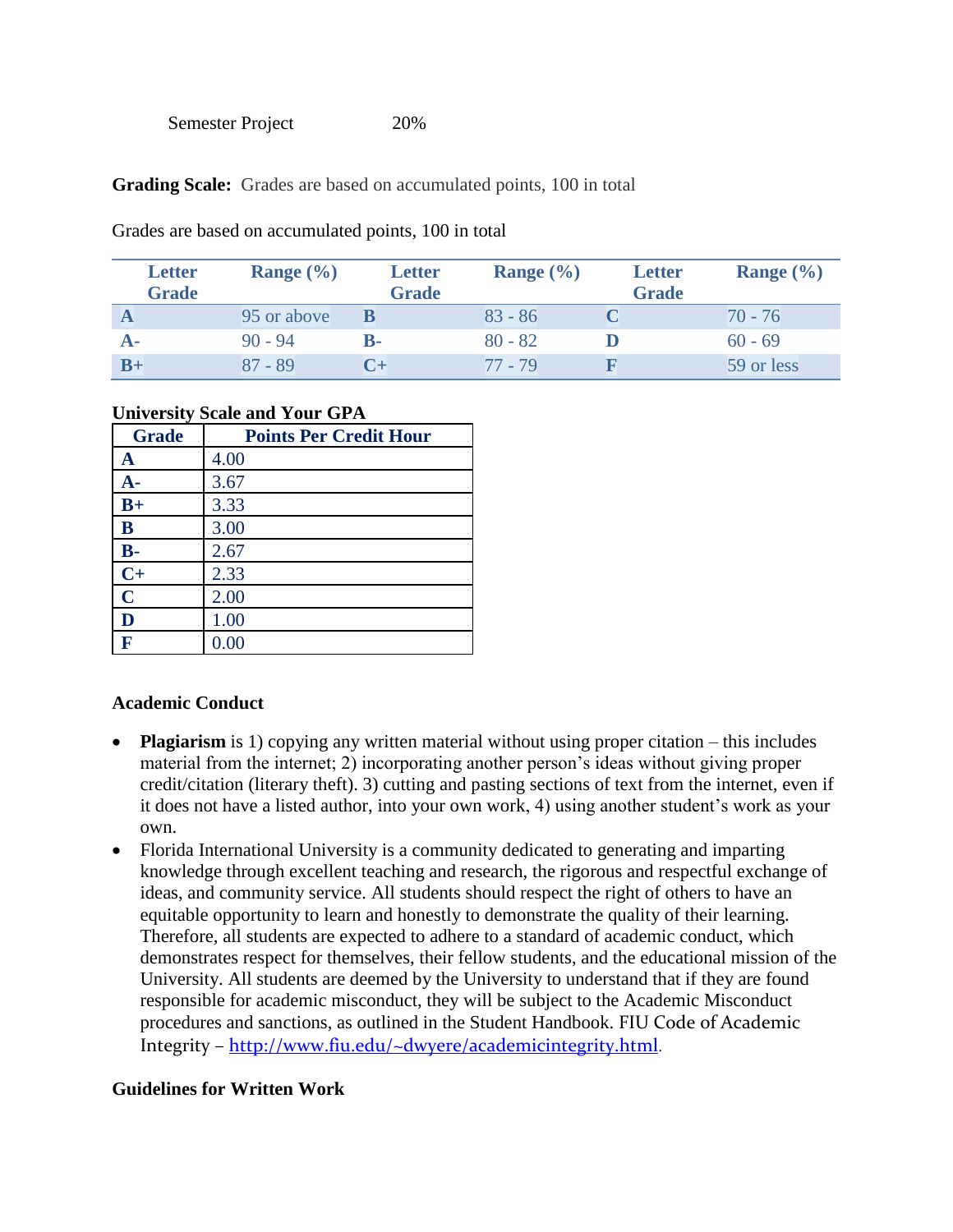**Grading Scale:** Grades are based on accumulated points, 100 in total

| <b>Letter</b><br><b>Grade</b> | Range $(\% )$ | <b>Letter</b><br><b>Grade</b> | Range $(\% )$ | <b>Letter</b><br><b>Grade</b> | Range $(\% )$ |
|-------------------------------|---------------|-------------------------------|---------------|-------------------------------|---------------|
|                               | 95 or above   |                               | $83 - 86$     |                               | $70 - 76$     |
|                               | $90 - 94$     | <b>B-</b>                     | $80 - 82$     |                               | $60 - 69$     |
| $B+$                          | $87 - 89$     | $C_{\pm}$                     | $77 - 79$     |                               | 59 or less    |

Grades are based on accumulated points, 100 in total

#### **University Scale and Your GPA**

| <b>Grade</b> | <b>Points Per Credit Hour</b> |
|--------------|-------------------------------|
| A            | 4.00                          |
| A-           | 3.67                          |
| $B+$         | 3.33                          |
| B            | 3.00                          |
| $B -$        | 2.67                          |
| $C+$         | 2.33                          |
| $\mathbf C$  | 2.00                          |
| D            | 1.00                          |
| F            | 0.00                          |

#### **Academic Conduct**

- **Plagiarism** is 1) copying any written material without using proper citation this includes material from the internet; 2) incorporating another person's ideas without giving proper credit/citation (literary theft). 3) cutting and pasting sections of text from the internet, even if it does not have a listed author, into your own work, 4) using another student's work as your own.
- Florida International University is a community dedicated to generating and imparting knowledge through excellent teaching and research, the rigorous and respectful exchange of ideas, and community service. All students should respect the right of others to have an equitable opportunity to learn and honestly to demonstrate the quality of their learning. Therefore, all students are expected to adhere to a standard of academic conduct, which demonstrates respect for themselves, their fellow students, and the educational mission of the University. All students are deemed by the University to understand that if they are found responsible for academic misconduct, they will be subject to the Academic Misconduct procedures and sanctions, as outlined in the Student Handbook. FIU Code of Academic Integrity – <http://www.fiu.edu/~dwyere/academicintegrity.html>.

#### **Guidelines for Written Work**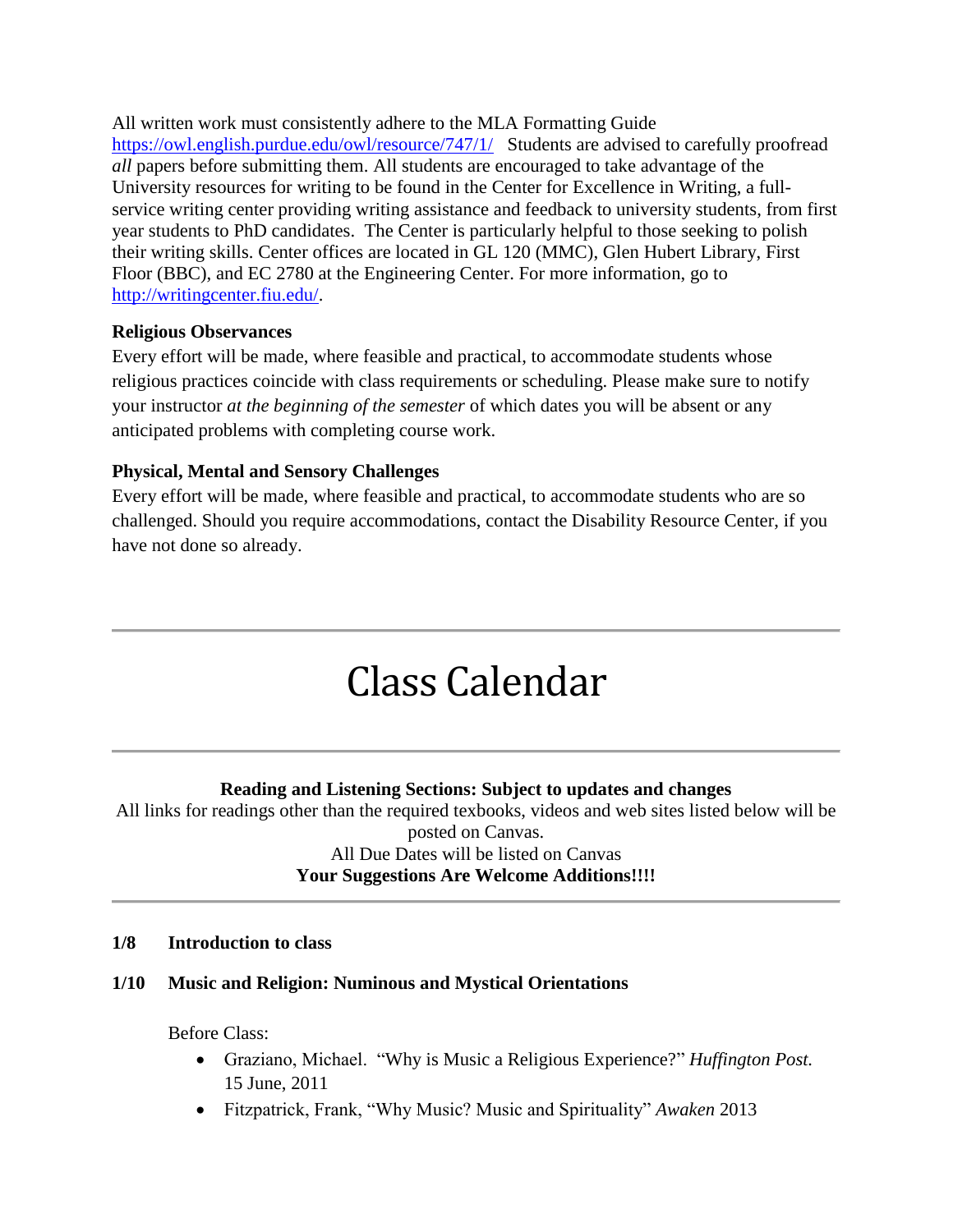All written work must consistently adhere to the MLA Formatting Guide <https://owl.english.purdue.edu/owl/resource/747/1/>Students are advised to carefully proofread *all* papers before submitting them. All students are encouraged to take advantage of the University resources for writing to be found in the Center for Excellence in Writing, a fullservice writing center providing writing assistance and feedback to university students, from first year students to PhD candidates. The Center is particularly helpful to those seeking to polish their writing skills. Center offices are located in GL 120 (MMC), Glen Hubert Library, First Floor (BBC), and EC 2780 at the Engineering Center. For more information, go to [http://writingcenter.fiu.edu/.](http://writingcenter.fiu.edu/)

#### **Religious Observances**

Every effort will be made, where feasible and practical, to accommodate students whose religious practices coincide with class requirements or scheduling. Please make sure to notify your instructor *at the beginning of the semester* of which dates you will be absent or any anticipated problems with completing course work.

#### **Physical, Mental and Sensory Challenges**

Every effort will be made, where feasible and practical, to accommodate students who are so challenged. Should you require accommodations, contact the Disability Resource Center, if you have not done so already.

# Class Calendar

#### **Reading and Listening Sections: Subject to updates and changes**

All links for readings other than the required texbooks, videos and web sites listed below will be posted on Canvas. All Due Dates will be listed on Canvas **Your Suggestions Are Welcome Additions!!!!**

#### **1/8 Introduction to class**

#### **1/10 Music and Religion: Numinous and Mystical Orientations**

Before Class:

- Graziano, Michael. "Why is Music a Religious Experience?" *Huffington Post.* 15 June, 2011
- Fitzpatrick, Frank, "Why Music? Music and Spirituality" *Awaken* 2013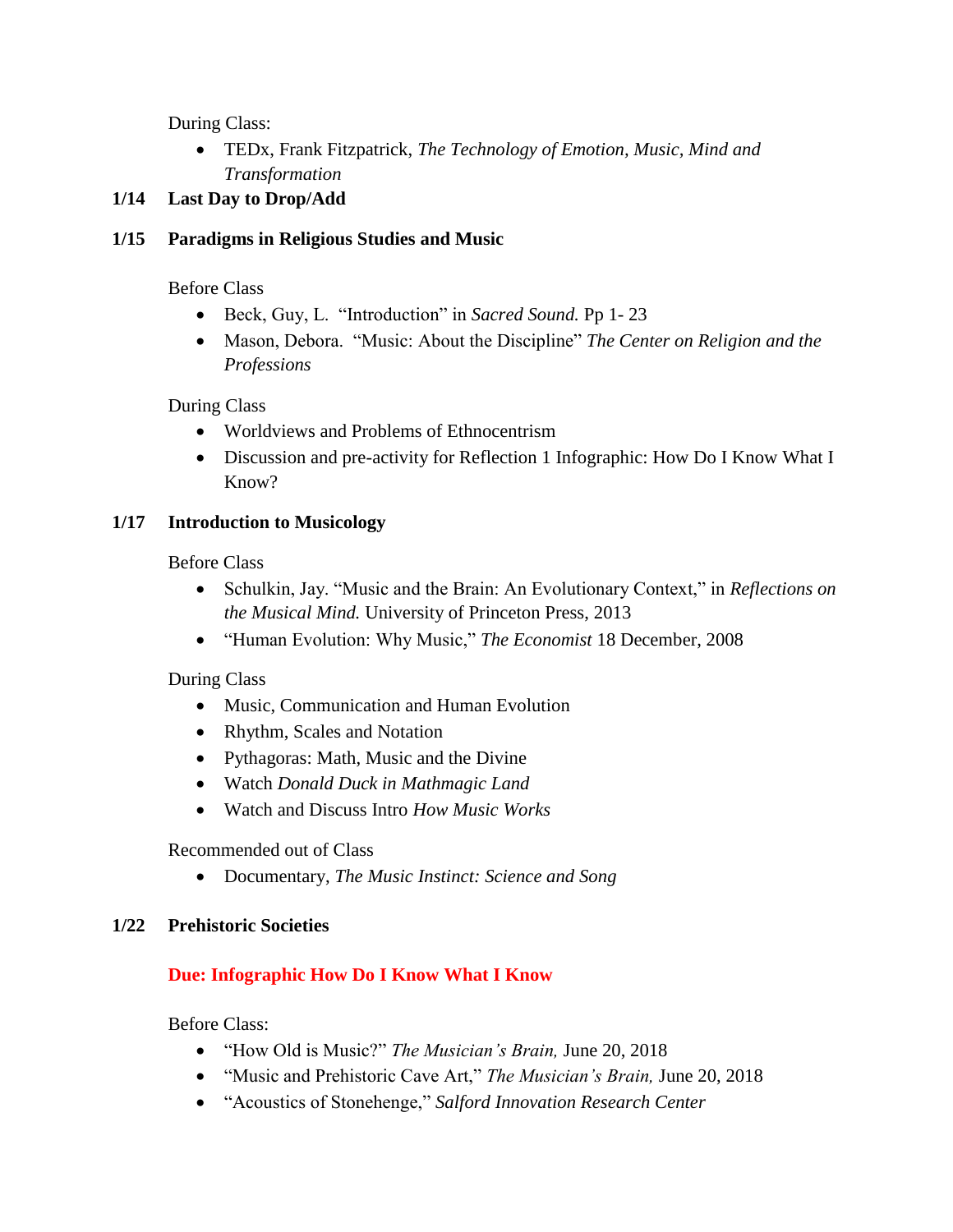During Class:

• TEDx, Frank Fitzpatrick, *The Technology of Emotion, Music, Mind and Transformation*

#### **1/14 Last Day to Drop/Add**

#### **1/15 Paradigms in Religious Studies and Music**

Before Class

- Beck, Guy, L. "Introduction" in *Sacred Sound.* Pp 1- 23
- Mason, Debora. "Music: About the Discipline" *The Center on Religion and the Professions*

During Class

- Worldviews and Problems of Ethnocentrism
- Discussion and pre-activity for Reflection 1 Infographic: How Do I Know What I Know?

#### **1/17 Introduction to Musicology**

Before Class

- Schulkin, Jay. "Music and the Brain: An Evolutionary Context," in *Reflections on the Musical Mind.* University of Princeton Press, 2013
- "Human Evolution: Why Music," *The Economist* 18 December, 2008

During Class

- Music, Communication and Human Evolution
- Rhythm, Scales and Notation
- Pythagoras: Math, Music and the Divine
- Watch *Donald Duck in Mathmagic Land*
- Watch and Discuss Intro *How Music Works*

Recommended out of Class

• Documentary, *The Music Instinct: Science and Song* 

#### **1/22 Prehistoric Societies**

#### **Due: Infographic How Do I Know What I Know**

Before Class:

- "How Old is Music?" *The Musician's Brain,* June 20, 2018
- "Music and Prehistoric Cave Art," *The Musician's Brain,* June 20, 2018
- "Acoustics of Stonehenge," *Salford Innovation Research Center*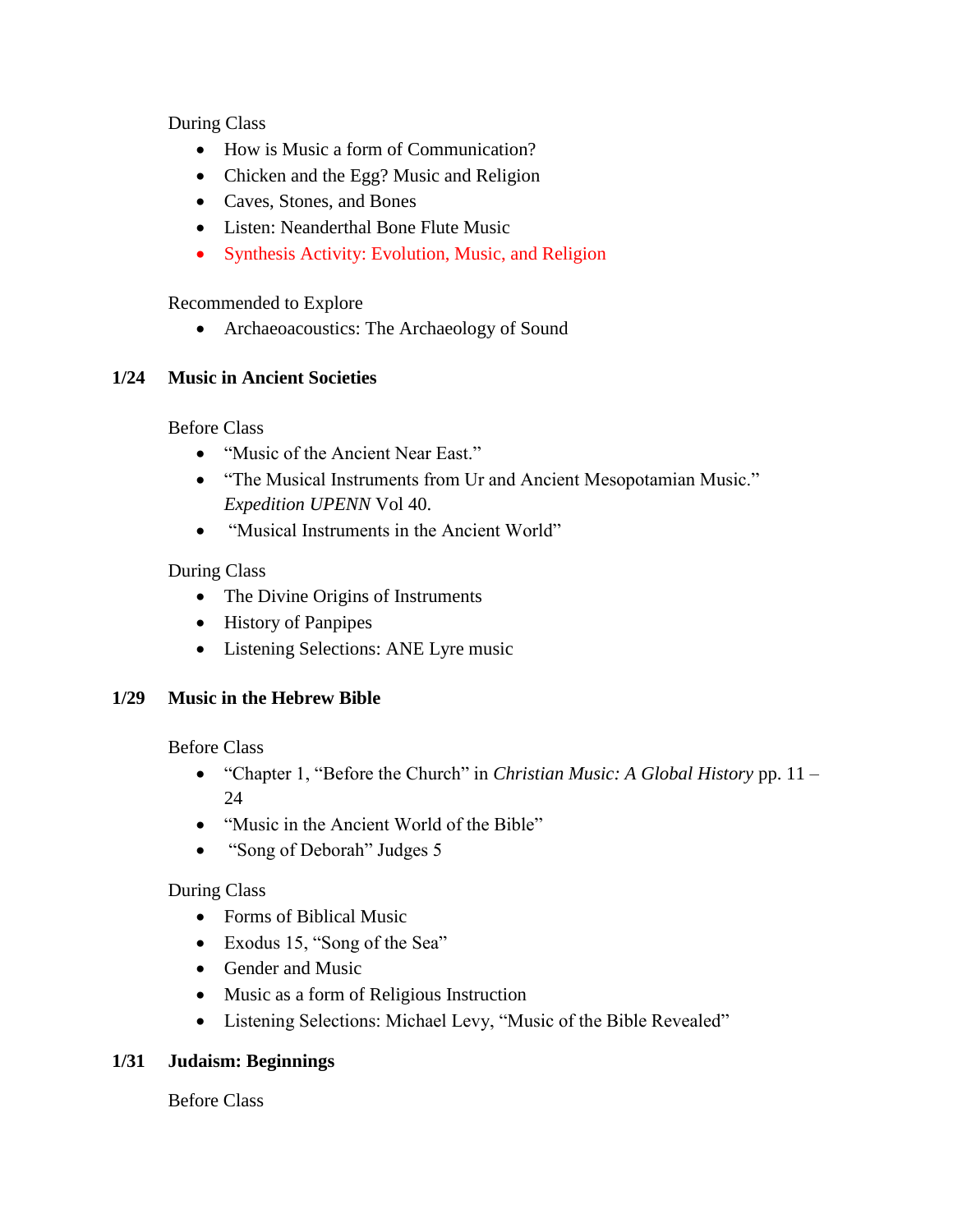During Class

- How is Music a form of Communication?
- Chicken and the Egg? Music and Religion
- Caves, Stones, and Bones
- Listen: Neanderthal Bone Flute Music
- Synthesis Activity: Evolution, Music, and Religion

Recommended to Explore

• Archaeoacoustics: The Archaeology of Sound

# **1/24 Music in Ancient Societies**

Before Class

- "Music of the Ancient Near East."
- "The Musical Instruments from Ur and Ancient Mesopotamian Music." *Expedition UPENN* Vol 40.
- "Musical Instruments in the Ancient World"

# During Class

- The Divine Origins of Instruments
- History of Panpipes
- Listening Selections: ANE Lyre music

# **1/29 Music in the Hebrew Bible**

Before Class

- "Chapter 1, "Before the Church" in *Christian Music: A Global History* pp. 11 24
- "Music in the Ancient World of the Bible"
- "Song of Deborah" Judges 5

# During Class

- Forms of Biblical Music
- Exodus 15, "Song of the Sea"
- Gender and Music
- Music as a form of Religious Instruction
- Listening Selections: Michael Levy, "Music of the Bible Revealed"

# **1/31 Judaism: Beginnings**

Before Class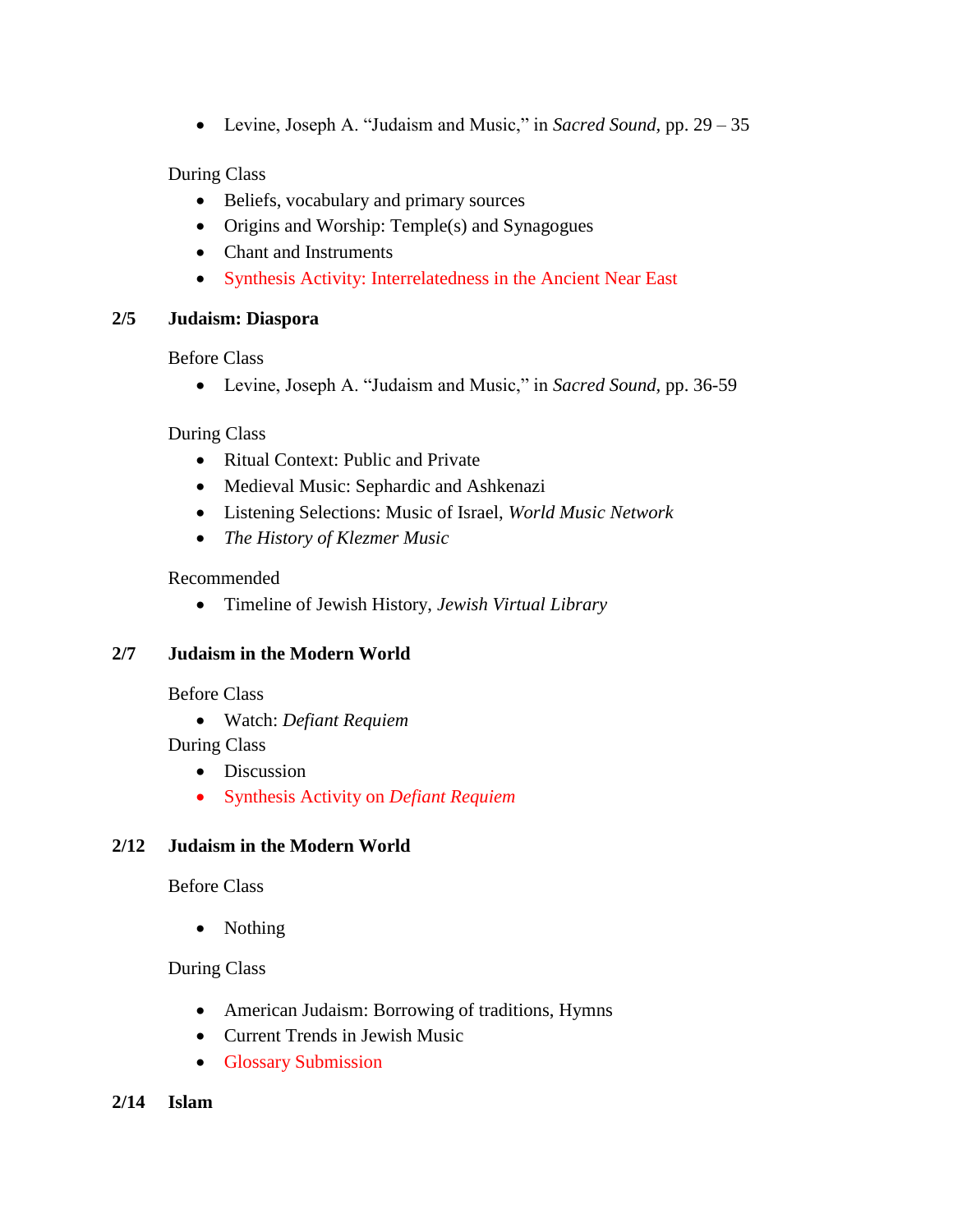• Levine, Joseph A. "Judaism and Music," in *Sacred Sound,* pp. 29 – 35

#### During Class

- Beliefs, vocabulary and primary sources
- Origins and Worship: Temple(s) and Synagogues
- Chant and Instruments
- Synthesis Activity: Interrelatedness in the Ancient Near East

#### **2/5 Judaism: Diaspora**

Before Class

• Levine, Joseph A. "Judaism and Music," in *Sacred Sound,* pp. 36-59

During Class

- Ritual Context: Public and Private
- Medieval Music: Sephardic and Ashkenazi
- Listening Selections: Music of Israel, *World Music Network*
- *The History of Klezmer Music*

#### Recommended

• Timeline of Jewish History, *Jewish Virtual Library*

#### **2/7 Judaism in the Modern World**

Before Class

• Watch: *Defiant Requiem* 

During Class

- Discussion
- Synthesis Activity on *Defiant Requiem*

#### **2/12 Judaism in the Modern World**

Before Class

• Nothing

#### During Class

- American Judaism: Borrowing of traditions, Hymns
- Current Trends in Jewish Music
- Glossary Submission
- **2/14 Islam**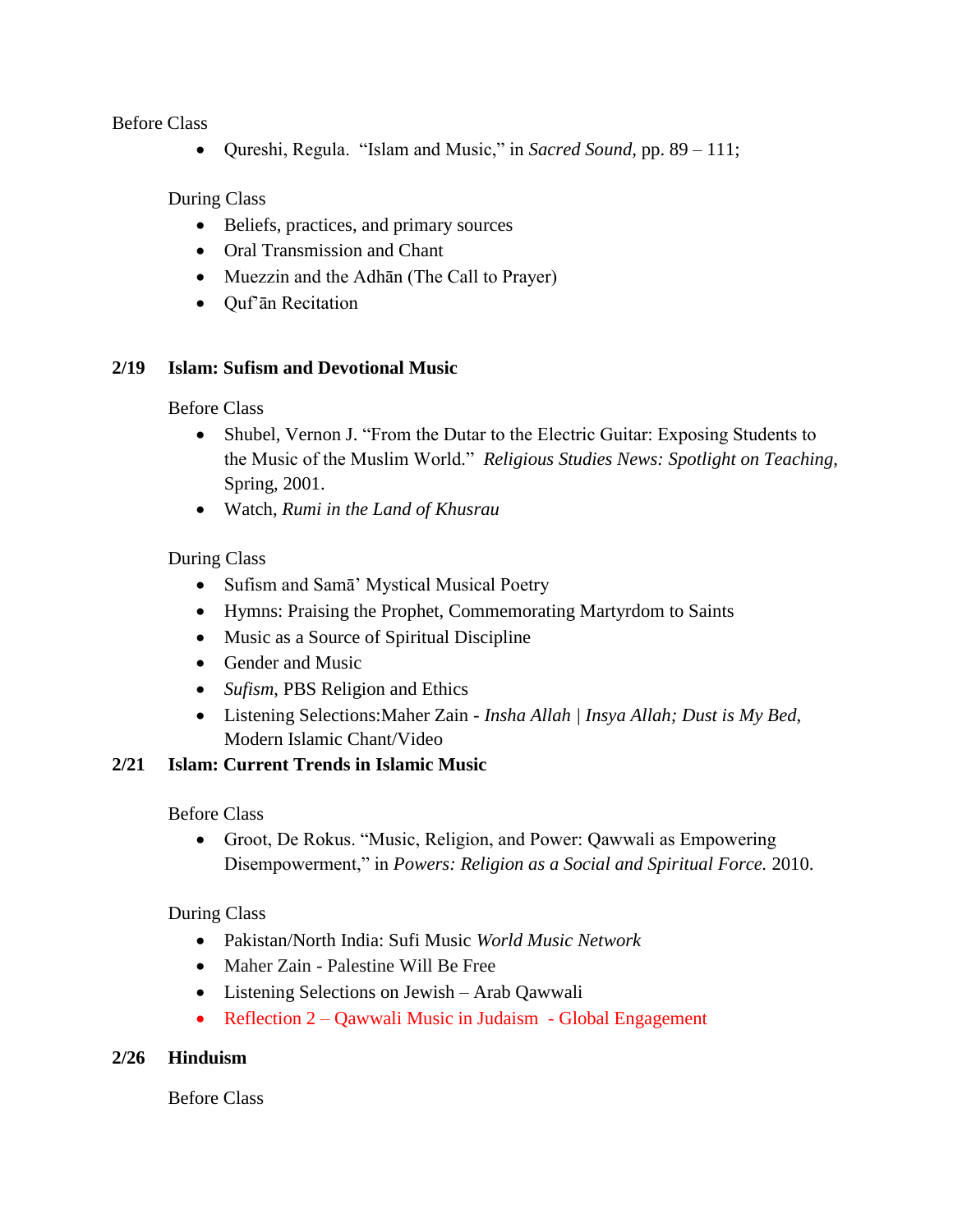Before Class

• Qureshi, Regula. "Islam and Music," in *Sacred Sound,* pp. 89 – 111;

During Class

- Beliefs, practices, and primary sources
- Oral Transmission and Chant
- Muezzin and the Adhān (The Call to Prayer)
- Quf'ān Recitation

#### **2/19 Islam: Sufism and Devotional Music**

Before Class

- Shubel, Vernon J. "From the Dutar to the Electric Guitar: Exposing Students to the Music of the Muslim World." *Religious Studies News: Spotlight on Teaching,*  Spring, 2001.
- Watch, *Rumi in the Land of Khusrau*

#### During Class

- Sufism and Samā' Mystical Musical Poetry
- Hymns: Praising the Prophet, Commemorating Martyrdom to Saints
- Music as a Source of Spiritual Discipline
- Gender and Music
- *Sufism*, PBS Religion and Ethics
- Listening Selections:Maher Zain *Insha Allah | Insya Allah; Dust is My Bed*, Modern Islamic Chant/Video

#### **2/21 Islam: Current Trends in Islamic Music**

Before Class

• Groot, De Rokus. "Music, Religion, and Power: Qawwali as Empowering Disempowerment," in *Powers: Religion as a Social and Spiritual Force.* 2010.

During Class

- Pakistan/North India: Sufi Music *World Music Network*
- Maher Zain Palestine Will Be Free
- Listening Selections on Jewish Arab Qawwali
- Reflection 2 Qawwali Music in Judaism Global Engagement

#### **2/26 Hinduism**

Before Class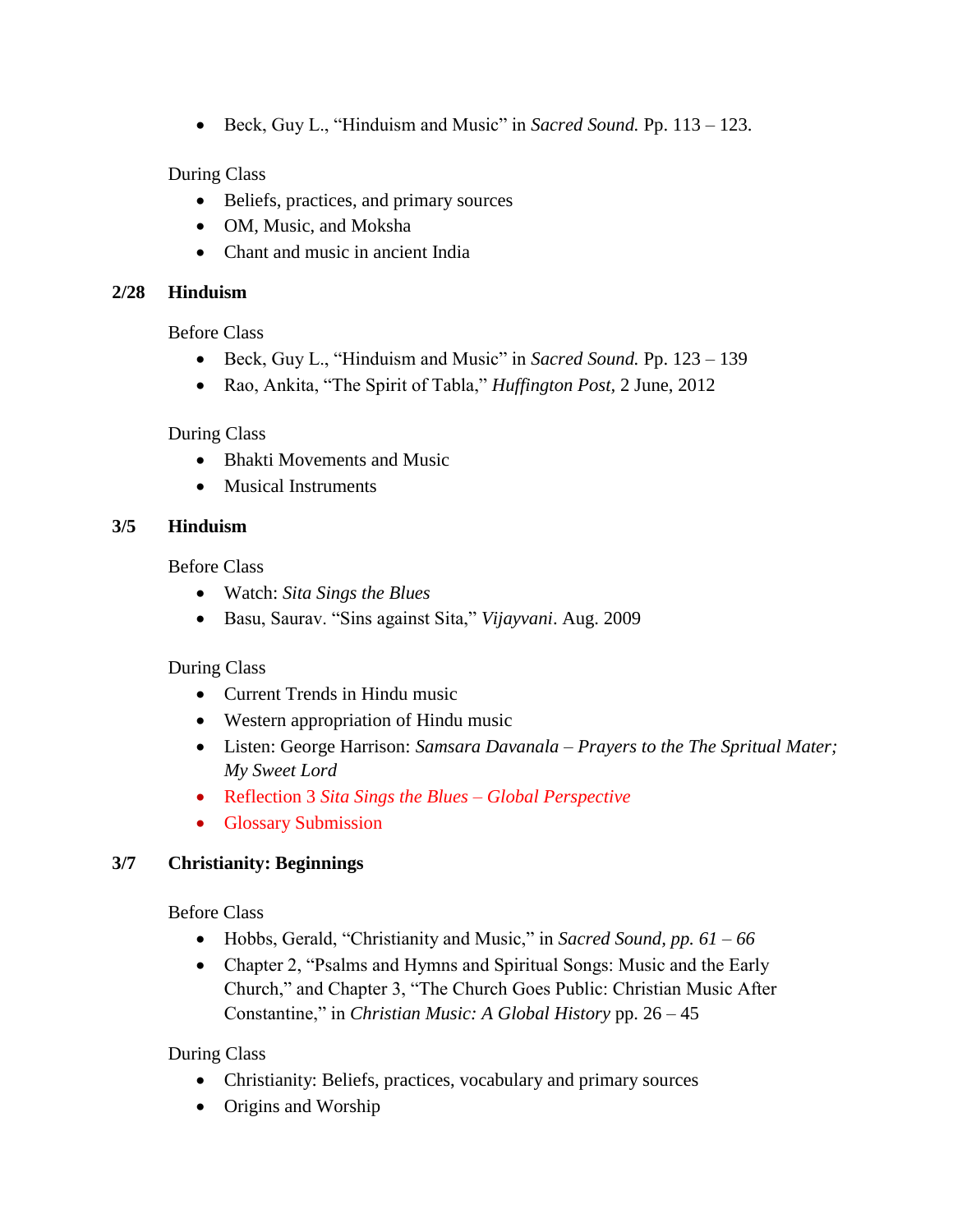• Beck, Guy L., "Hinduism and Music" in *Sacred Sound.* Pp. 113 – 123.

#### During Class

- Beliefs, practices, and primary sources
- OM, Music, and Moksha
- Chant and music in ancient India

#### **2/28 Hinduism**

Before Class

- Beck, Guy L., "Hinduism and Music" in *Sacred Sound.* Pp. 123 139
- Rao, Ankita, "The Spirit of Tabla," *Huffington Post,* 2 June, 2012

#### During Class

- Bhakti Movements and Music
- Musical Instruments

#### **3/5 Hinduism**

Before Class

- Watch: *Sita Sings the Blues*
- Basu, Saurav. "Sins against Sita," *Vijayvani*. Aug. 2009

During Class

- Current Trends in Hindu music
- Western appropriation of Hindu music
- Listen: George Harrison: *Samsara Davanala Prayers to the The Spritual Mater; My Sweet Lord*
- Reflection 3 *Sita Sings the Blues – Global Perspective*
- Glossary Submission

#### **3/7 Christianity: Beginnings**

Before Class

- Hobbs, Gerald, "Christianity and Music," in *Sacred Sound, pp. 61 – 66*
- Chapter 2, "Psalms and Hymns and Spiritual Songs: Music and the Early Church," and Chapter 3, "The Church Goes Public: Christian Music After Constantine," in *Christian Music: A Global History* pp. 26 – 45

During Class

- Christianity: Beliefs, practices, vocabulary and primary sources
- Origins and Worship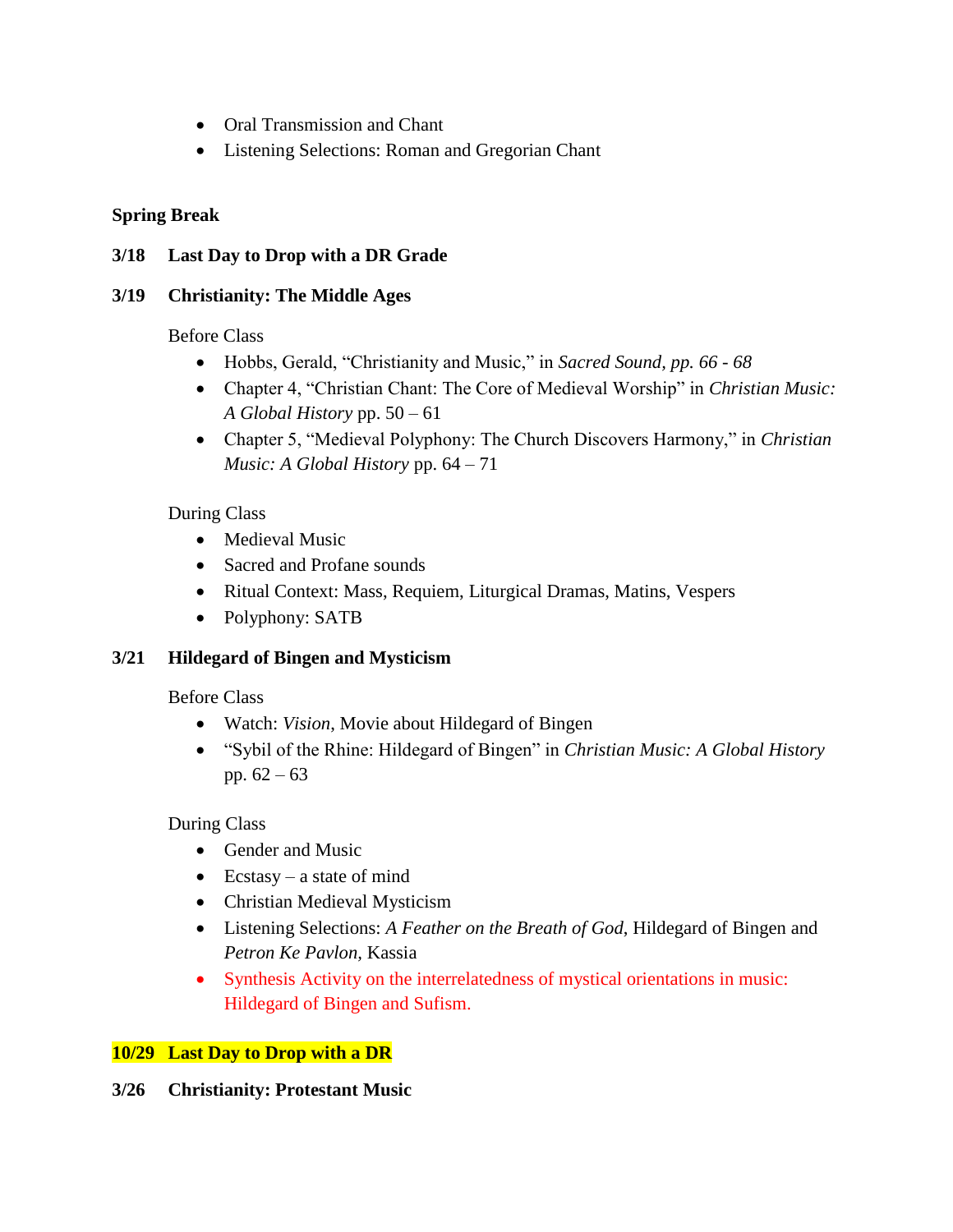- Oral Transmission and Chant
- Listening Selections: Roman and Gregorian Chant

#### **Spring Break**

#### **3/18 Last Day to Drop with a DR Grade**

#### **3/19 Christianity: The Middle Ages**

Before Class

- Hobbs, Gerald, "Christianity and Music," in *Sacred Sound, pp. 66 - 68*
- Chapter 4, "Christian Chant: The Core of Medieval Worship" in *Christian Music: A Global History* pp. 50 – 61
- Chapter 5, "Medieval Polyphony: The Church Discovers Harmony," in *Christian Music: A Global History* pp. 64 – 71

#### During Class

- Medieval Music
- Sacred and Profane sounds
- Ritual Context: Mass, Requiem, Liturgical Dramas, Matins, Vespers
- Polyphony: SATB

#### **3/21 Hildegard of Bingen and Mysticism**

Before Class

- Watch: *Vision*, Movie about Hildegard of Bingen
- "Sybil of the Rhine: Hildegard of Bingen" in *Christian Music: A Global History*  pp.  $62 - 63$

During Class

- Gender and Music
- Ecstasy a state of mind
- Christian Medieval Mysticism
- Listening Selections: *A Feather on the Breath of God*, Hildegard of Bingen and *Petron Ke Pavlon,* Kassia
- Synthesis Activity on the interrelatedness of mystical orientations in music: Hildegard of Bingen and Sufism.

#### **10/29 Last Day to Drop with a DR**

#### **3/26 Christianity: Protestant Music**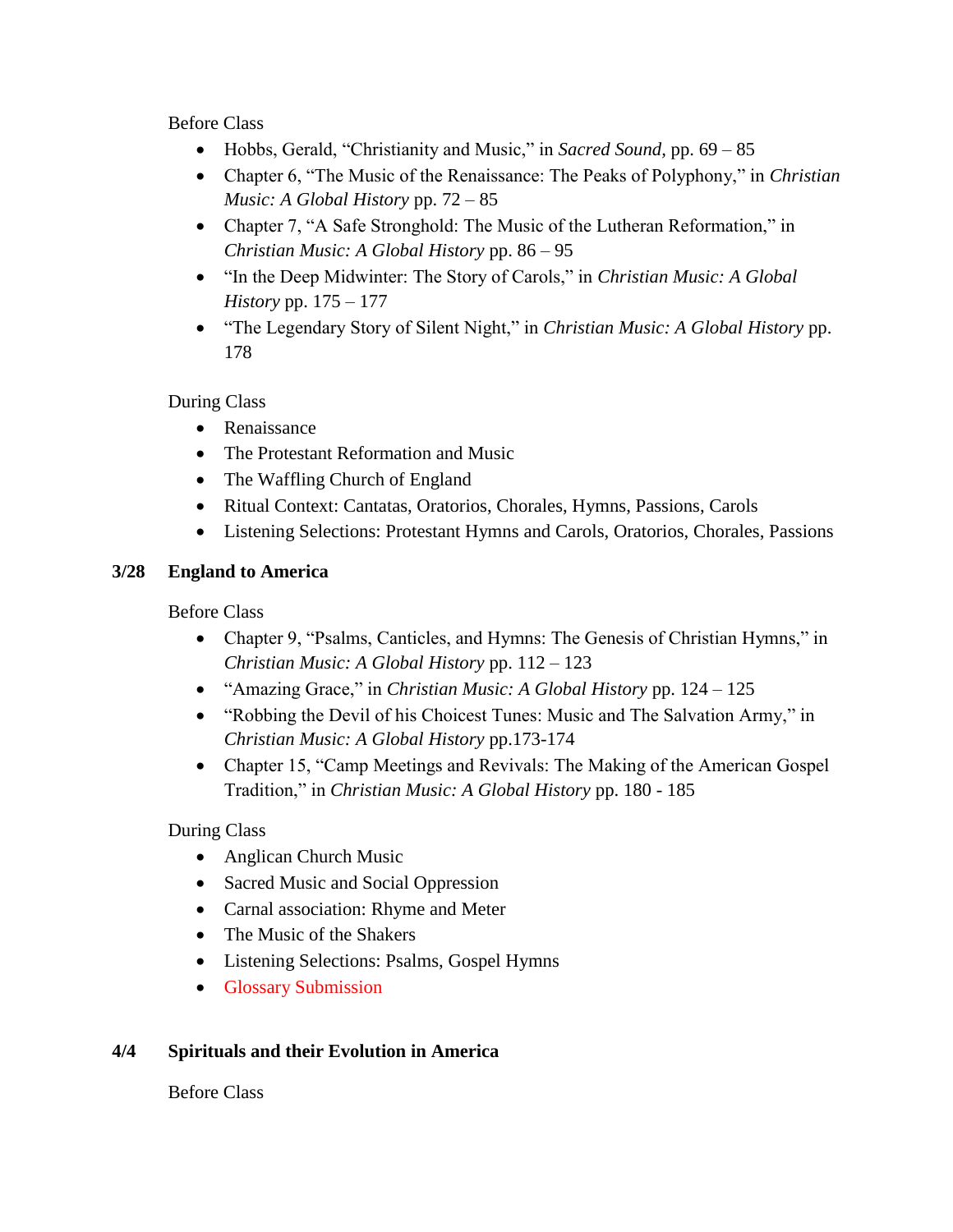Before Class

- Hobbs, Gerald, "Christianity and Music," in *Sacred Sound,* pp. 69 85
- Chapter 6, "The Music of the Renaissance: The Peaks of Polyphony," in *Christian Music: A Global History* pp. 72 – 85
- Chapter 7, "A Safe Stronghold: The Music of the Lutheran Reformation," in *Christian Music: A Global History* pp. 86 – 95
- "In the Deep Midwinter: The Story of Carols," in *Christian Music: A Global History* pp. 175 – 177
- "The Legendary Story of Silent Night," in *Christian Music: A Global History* pp. 178

### During Class

- Renaissance
- The Protestant Reformation and Music
- The Waffling Church of England
- Ritual Context: Cantatas, Oratorios, Chorales, Hymns, Passions, Carols
- Listening Selections: Protestant Hymns and Carols, Oratorios, Chorales, Passions

#### **3/28 England to America**

Before Class

- Chapter 9, "Psalms, Canticles, and Hymns: The Genesis of Christian Hymns," in *Christian Music: A Global History* pp. 112 – 123
- "Amazing Grace," in *Christian Music: A Global History* pp. 124 125
- "Robbing the Devil of his Choicest Tunes: Music and The Salvation Army," in *Christian Music: A Global History* pp.173-174
- Chapter 15, "Camp Meetings and Revivals: The Making of the American Gospel Tradition," in *Christian Music: A Global History* pp. 180 - 185

During Class

- Anglican Church Music
- Sacred Music and Social Oppression
- Carnal association: Rhyme and Meter
- The Music of the Shakers
- Listening Selections: Psalms, Gospel Hymns
- Glossary Submission

#### **4/4 Spirituals and their Evolution in America**

Before Class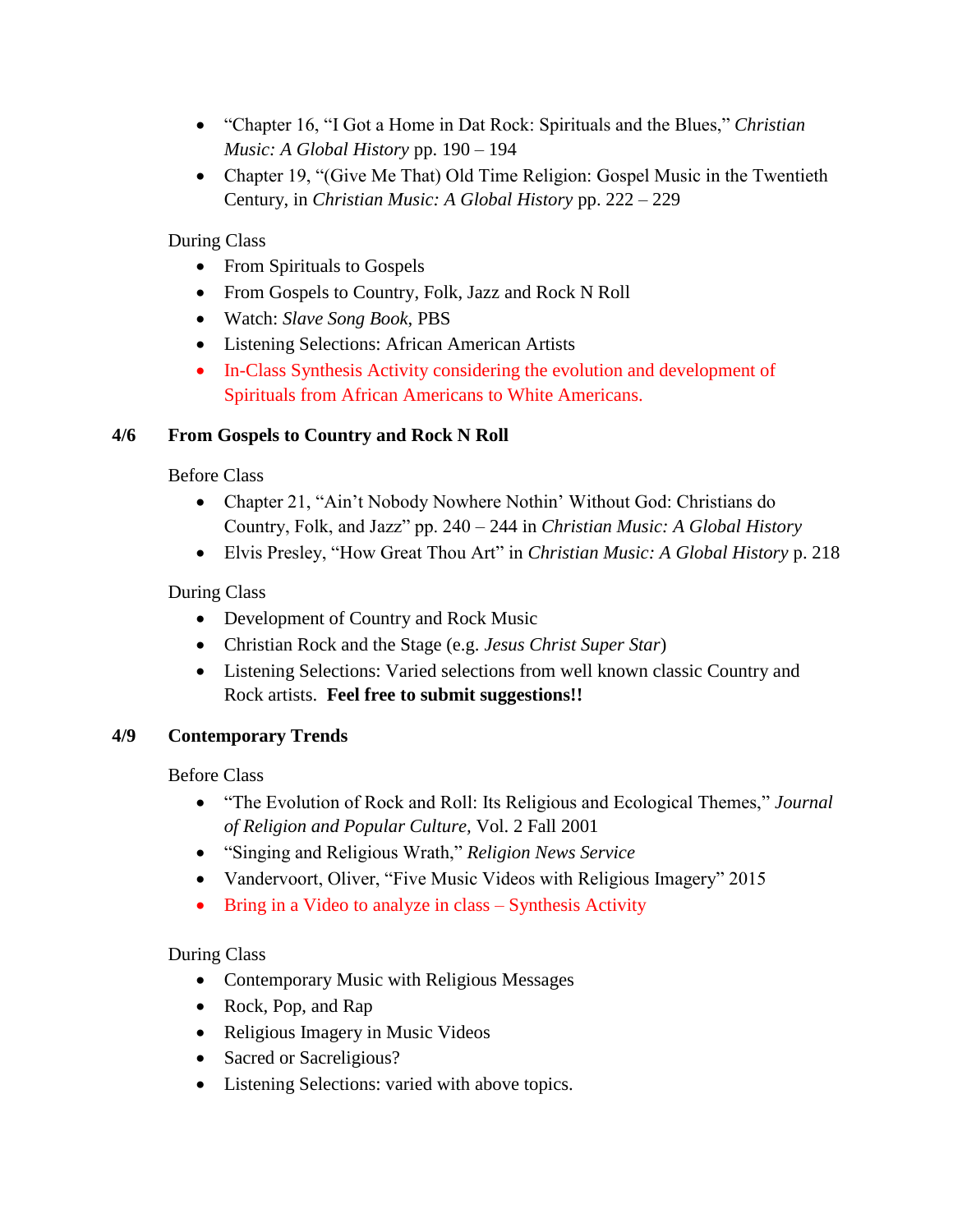- "Chapter 16, "I Got a Home in Dat Rock: Spirituals and the Blues," *Christian Music: A Global History* pp. 190 – 194
- Chapter 19, "(Give Me That) Old Time Religion: Gospel Music in the Twentieth Century, in *Christian Music: A Global History* pp. 222 – 229

During Class

- From Spirituals to Gospels
- From Gospels to Country, Folk, Jazz and Rock N Roll
- Watch: *Slave Song Book*, PBS
- Listening Selections: African American Artists
- In-Class Synthesis Activity considering the evolution and development of Spirituals from African Americans to White Americans.

#### **4/6 From Gospels to Country and Rock N Roll**

Before Class

- Chapter 21, "Ain't Nobody Nowhere Nothin' Without God: Christians do Country, Folk, and Jazz" pp. 240 – 244 in *Christian Music: A Global History*
- Elvis Presley, "How Great Thou Art" in *Christian Music: A Global History* p. 218

During Class

- Development of Country and Rock Music
- Christian Rock and the Stage (e.g. *Jesus Christ Super Star*)
- Listening Selections: Varied selections from well known classic Country and Rock artists. **Feel free to submit suggestions!!**

#### **4/9 Contemporary Trends**

Before Class

- "The Evolution of Rock and Roll: Its Religious and Ecological Themes," *Journal of Religion and Popular Culture,* Vol. 2 Fall 2001
- "Singing and Religious Wrath," *Religion News Service*
- Vandervoort, Oliver, "Five Music Videos with Religious Imagery" 2015
- Bring in a Video to analyze in class Synthesis Activity

During Class

- Contemporary Music with Religious Messages
- Rock, Pop, and Rap
- Religious Imagery in Music Videos
- Sacred or Sacreligious?
- Listening Selections: varied with above topics.